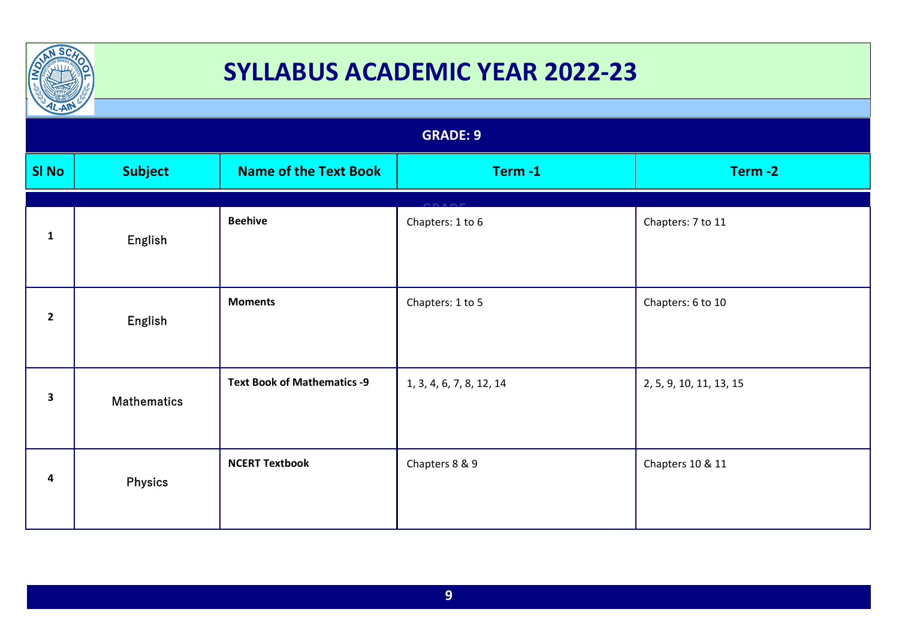

| IL-AM<br><b>GRADE: 9</b> |                    |                                    |                          |                         |  |
|--------------------------|--------------------|------------------------------------|--------------------------|-------------------------|--|
| <b>SI No</b>             | <b>Subject</b>     | <b>Name of the Text Book</b>       | Term-1                   | Term-2                  |  |
| $\mathbf{1}$             | English            | <b>Beehive</b>                     | Chapters: 1 to 6         | Chapters: 7 to 11       |  |
| $\overline{2}$           | English            | <b>Moments</b>                     | Chapters: 1 to 5         | Chapters: 6 to 10       |  |
| $\overline{\mathbf{3}}$  | <b>Mathematics</b> | <b>Text Book of Mathematics -9</b> | 1, 3, 4, 6, 7, 8, 12, 14 | 2, 5, 9, 10, 11, 13, 15 |  |
| 4                        | <b>Physics</b>     | <b>NCERT Textbook</b>              | Chapters 8 & 9           | Chapters 10 & 11        |  |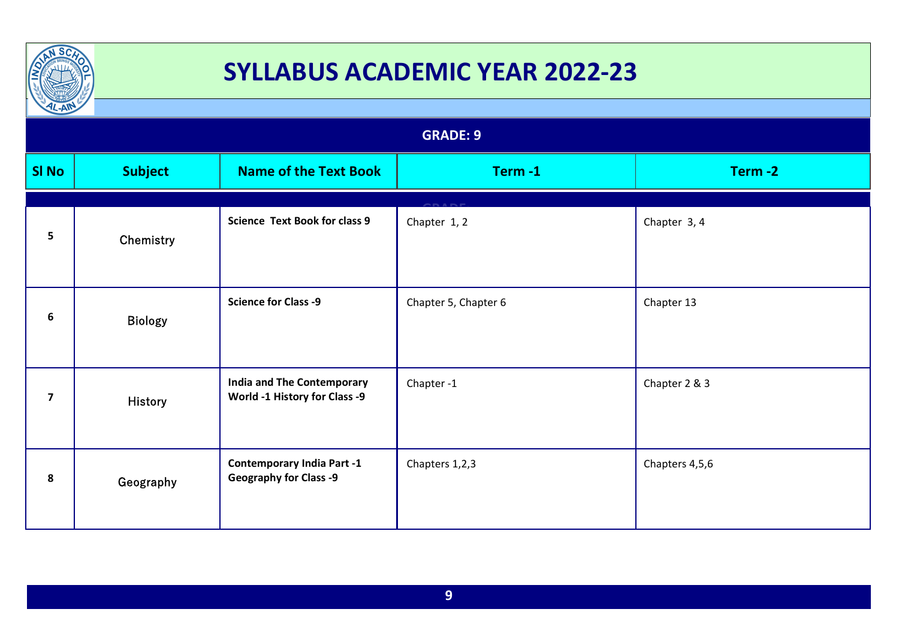

| $L-AW$         |                 |                                                                    |                      |                |  |  |
|----------------|-----------------|--------------------------------------------------------------------|----------------------|----------------|--|--|
|                | <b>GRADE: 9</b> |                                                                    |                      |                |  |  |
| <b>SI No</b>   | <b>Subject</b>  | <b>Name of the Text Book</b>                                       | Term-1               | Term-2         |  |  |
| 5              | Chemistry       | <b>Science Text Book for class 9</b>                               | Chapter 1, 2         | Chapter 3, 4   |  |  |
| 6              | <b>Biology</b>  | <b>Science for Class -9</b>                                        | Chapter 5, Chapter 6 | Chapter 13     |  |  |
| $\overline{7}$ | <b>History</b>  | <b>India and The Contemporary</b><br>World -1 History for Class -9 | Chapter-1            | Chapter 2 & 3  |  |  |
| 8              | Geography       | <b>Contemporary India Part -1</b><br><b>Geography for Class -9</b> | Chapters 1,2,3       | Chapters 4,5,6 |  |  |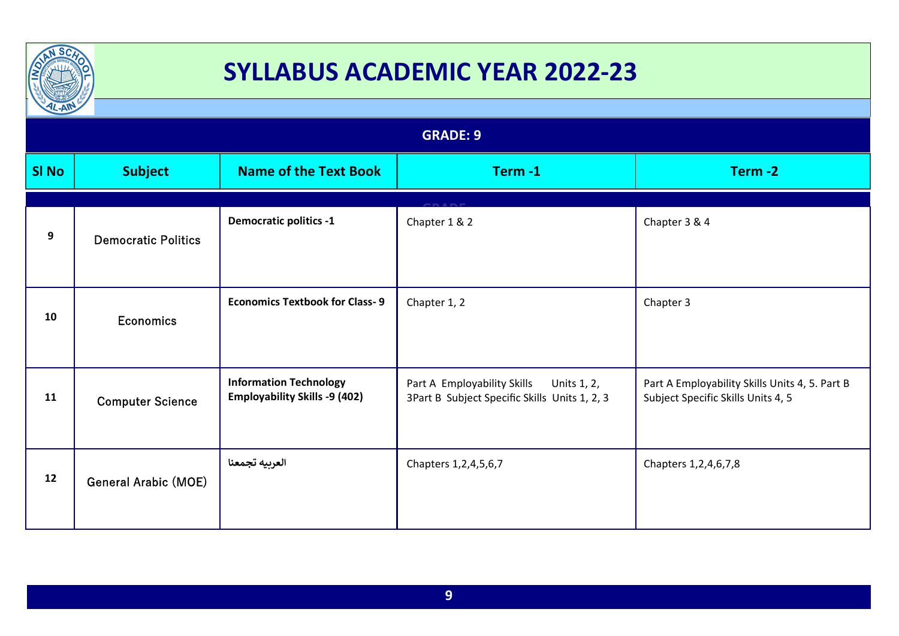

| $\frac{1}{2}$   |                             |                                                                       |                                                                                             |                                                                                      |  |
|-----------------|-----------------------------|-----------------------------------------------------------------------|---------------------------------------------------------------------------------------------|--------------------------------------------------------------------------------------|--|
| <b>GRADE: 9</b> |                             |                                                                       |                                                                                             |                                                                                      |  |
| <b>SI No</b>    | <b>Subject</b>              | <b>Name of the Text Book</b>                                          | Term-1                                                                                      | Term-2                                                                               |  |
| 9               | <b>Democratic Politics</b>  | <b>Democratic politics -1</b>                                         | Chapter 1 & 2                                                                               | Chapter 3 & 4                                                                        |  |
| 10              | <b>Economics</b>            | <b>Economics Textbook for Class-9</b>                                 | Chapter 1, 2                                                                                | Chapter 3                                                                            |  |
| 11              | <b>Computer Science</b>     | <b>Information Technology</b><br><b>Employability Skills -9 (402)</b> | Part A Employability Skills<br>Units 1, 2,<br>3Part B Subject Specific Skills Units 1, 2, 3 | Part A Employability Skills Units 4, 5. Part B<br>Subject Specific Skills Units 4, 5 |  |
| 12              | <b>General Arabic (MOE)</b> | العربيه تجمعنا                                                        | Chapters 1, 2, 4, 5, 6, 7                                                                   | Chapters 1, 2, 4, 6, 7, 8                                                            |  |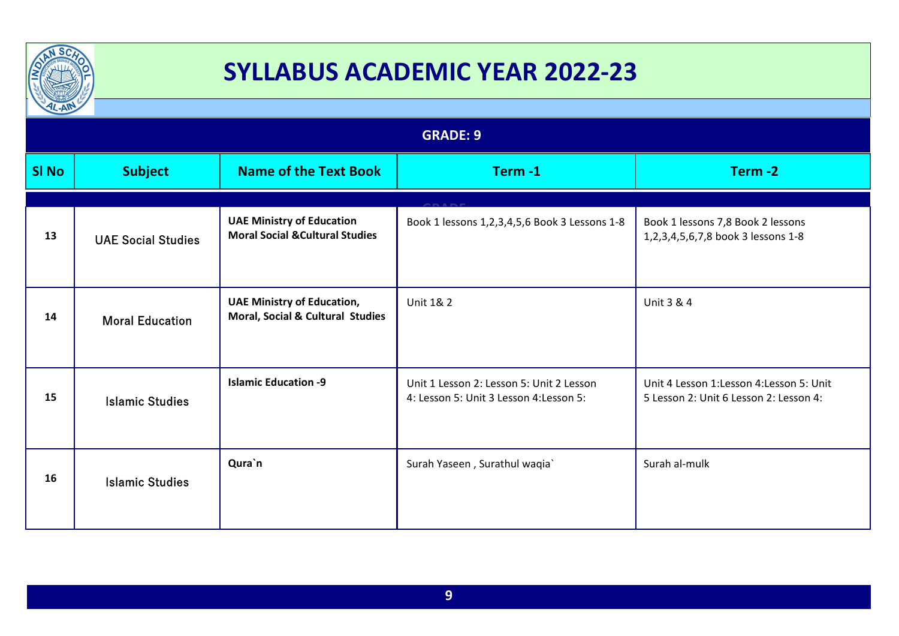

| $\mu$ -All      |                           |                                                                                |                                                                                     |                                                                                   |  |
|-----------------|---------------------------|--------------------------------------------------------------------------------|-------------------------------------------------------------------------------------|-----------------------------------------------------------------------------------|--|
| <b>GRADE: 9</b> |                           |                                                                                |                                                                                     |                                                                                   |  |
| <b>SI No</b>    | <b>Subject</b>            | <b>Name of the Text Book</b>                                                   | Term-1                                                                              | Term-2                                                                            |  |
|                 |                           |                                                                                |                                                                                     |                                                                                   |  |
| 13              | <b>UAE Social Studies</b> | <b>UAE Ministry of Education</b><br><b>Moral Social &amp; Cultural Studies</b> | Book 1 lessons 1,2,3,4,5,6 Book 3 Lessons 1-8                                       | Book 1 lessons 7,8 Book 2 lessons<br>1,2,3,4,5,6,7,8 book 3 lessons 1-8           |  |
| 14              | <b>Moral Education</b>    | <b>UAE Ministry of Education,</b><br>Moral, Social & Cultural Studies          | Unit 1& 2                                                                           | Unit 3 & 4                                                                        |  |
| 15              | <b>Islamic Studies</b>    | <b>Islamic Education -9</b>                                                    | Unit 1 Lesson 2: Lesson 5: Unit 2 Lesson<br>4: Lesson 5: Unit 3 Lesson 4: Lesson 5: | Unit 4 Lesson 1:Lesson 4:Lesson 5: Unit<br>5 Lesson 2: Unit 6 Lesson 2: Lesson 4: |  |
| 16              | <b>Islamic Studies</b>    | Qura`n                                                                         | Surah Yaseen, Surathul waqia`                                                       | Surah al-mulk                                                                     |  |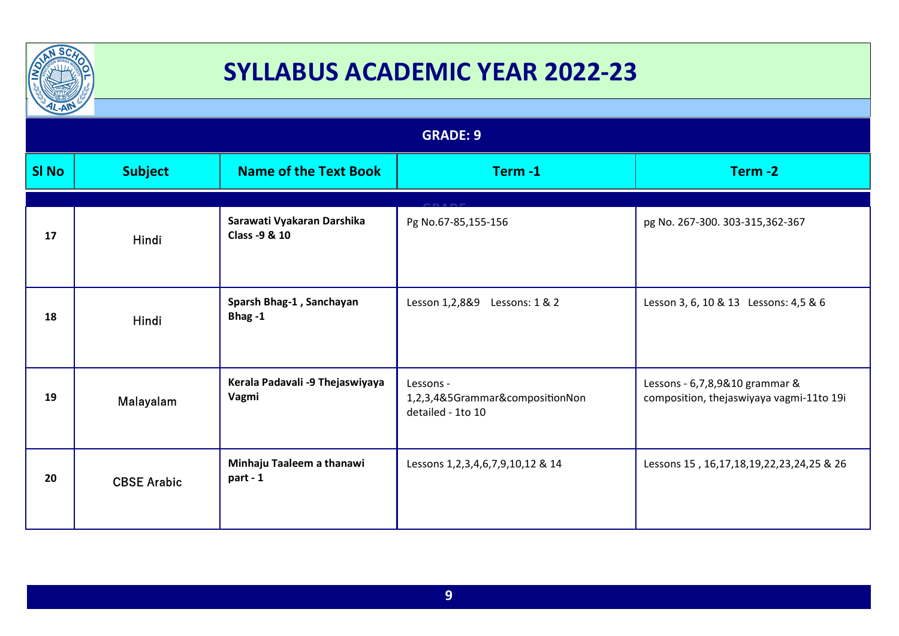

| $\frac{1}{2}$   |                    |                                             |                                                                   |                                                                            |  |
|-----------------|--------------------|---------------------------------------------|-------------------------------------------------------------------|----------------------------------------------------------------------------|--|
| <b>GRADE: 9</b> |                    |                                             |                                                                   |                                                                            |  |
| <b>SI No</b>    | <b>Subject</b>     | <b>Name of the Text Book</b>                | Term-1                                                            | Term-2                                                                     |  |
|                 |                    |                                             |                                                                   |                                                                            |  |
| 17              | Hindi              | Sarawati Vyakaran Darshika<br>Class -9 & 10 | Pg No.67-85,155-156                                               | pg No. 267-300. 303-315,362-367                                            |  |
| 18              | Hindi              | Sparsh Bhag-1, Sanchayan<br>Bhag-1          | Lesson 1,2,8&9<br>Lessons: 1 & 2                                  | Lesson 3, 6, 10 & 13 Lessons: 4,5 & 6                                      |  |
| 19              | Malayalam          | Kerala Padavali -9 Thejaswiyaya<br>Vagmi    | Lessons -<br>1,2,3,4&5Grammar&compositionNon<br>detailed - 1to 10 | Lessons - 6,7,8,9&10 grammar &<br>composition, thejaswiyaya vagmi-11to 19i |  |
| 20              | <b>CBSE Arabic</b> | Minhaju Taaleem a thanawi<br>part - 1       | Lessons 1, 2, 3, 4, 6, 7, 9, 10, 12 & 14                          | Lessons 15, 16, 17, 18, 19, 22, 23, 24, 25 & 26                            |  |